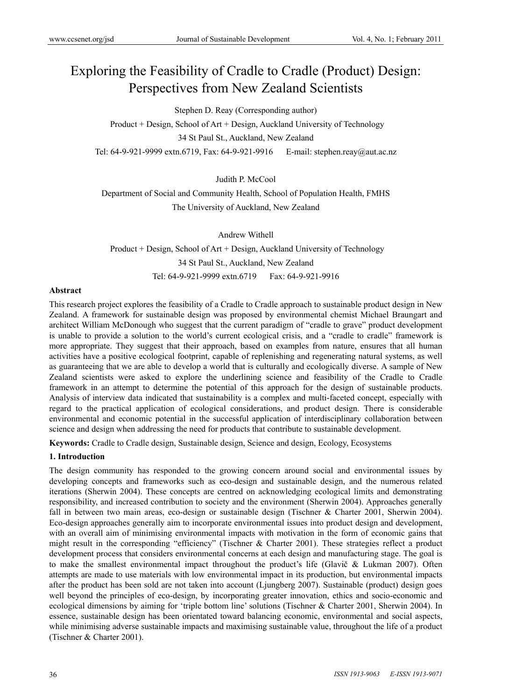# Exploring the Feasibility of Cradle to Cradle (Product) Design: Perspectives from New Zealand Scientists

Stephen D. Reay (Corresponding author)

Product + Design, School of Art + Design, Auckland University of Technology 34 St Paul St., Auckland, New Zealand Tel: 64-9-921-9999 extn.6719, Fax: 64-9-921-9916 E-mail: stephen.reay@aut.ac.nz

Judith P. McCool

Department of Social and Community Health, School of Population Health, FMHS The University of Auckland, New Zealand

Andrew Withell Product + Design, School of Art + Design, Auckland University of Technology 34 St Paul St., Auckland, New Zealand Tel: 64-9-921-9999 extn.6719 Fax: 64-9-921-9916

#### **Abstract**

This research project explores the feasibility of a Cradle to Cradle approach to sustainable product design in New Zealand. A framework for sustainable design was proposed by environmental chemist Michael Braungart and architect William McDonough who suggest that the current paradigm of "cradle to grave" product development is unable to provide a solution to the world's current ecological crisis, and a "cradle to cradle" framework is more appropriate. They suggest that their approach, based on examples from nature, ensures that all human activities have a positive ecological footprint, capable of replenishing and regenerating natural systems, as well as guaranteeing that we are able to develop a world that is culturally and ecologically diverse. A sample of New Zealand scientists were asked to explore the underlining science and feasibility of the Cradle to Cradle framework in an attempt to determine the potential of this approach for the design of sustainable products. Analysis of interview data indicated that sustainability is a complex and multi-faceted concept, especially with regard to the practical application of ecological considerations, and product design. There is considerable environmental and economic potential in the successful application of interdisciplinary collaboration between science and design when addressing the need for products that contribute to sustainable development.

**Keywords:** Cradle to Cradle design, Sustainable design, Science and design, Ecology, Ecosystems

# **1. Introduction**

The design community has responded to the growing concern around social and environmental issues by developing concepts and frameworks such as eco-design and sustainable design, and the numerous related iterations (Sherwin 2004). These concepts are centred on acknowledging ecological limits and demonstrating responsibility, and increased contribution to society and the environment (Sherwin 2004). Approaches generally fall in between two main areas, eco-design or sustainable design (Tischner & Charter 2001, Sherwin 2004). Eco-design approaches generally aim to incorporate environmental issues into product design and development, with an overall aim of minimising environmental impacts with motivation in the form of economic gains that might result in the corresponding "efficiency" (Tischner & Charter 2001). These strategies reflect a product development process that considers environmental concerns at each design and manufacturing stage. The goal is to make the smallest environmental impact throughout the product's life (Glavič & Lukman 2007). Often attempts are made to use materials with low environmental impact in its production, but environmental impacts after the product has been sold are not taken into account (Ljungberg 2007). Sustainable (product) design goes well beyond the principles of eco-design, by incorporating greater innovation, ethics and socio-economic and ecological dimensions by aiming for 'triple bottom line' solutions (Tischner & Charter 2001, Sherwin 2004). In essence, sustainable design has been orientated toward balancing economic, environmental and social aspects, while minimising adverse sustainable impacts and maximising sustainable value, throughout the life of a product (Tischner & Charter 2001).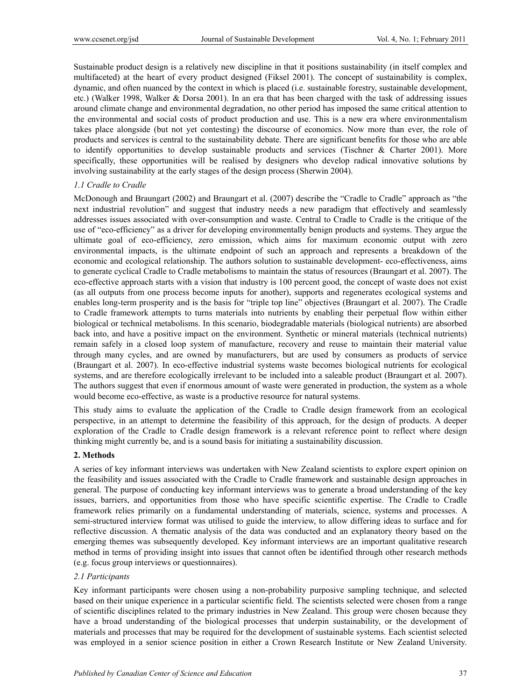Sustainable product design is a relatively new discipline in that it positions sustainability (in itself complex and multifaceted) at the heart of every product designed (Fiksel 2001). The concept of sustainability is complex, dynamic, and often nuanced by the context in which is placed (i.e. sustainable forestry, sustainable development, etc.) (Walker 1998, Walker & Dorsa 2001). In an era that has been charged with the task of addressing issues around climate change and environmental degradation, no other period has imposed the same critical attention to the environmental and social costs of product production and use. This is a new era where environmentalism takes place alongside (but not yet contesting) the discourse of economics. Now more than ever, the role of products and services is central to the sustainability debate. There are significant benefits for those who are able to identify opportunities to develop sustainable products and services (Tischner & Charter 2001). More specifically, these opportunities will be realised by designers who develop radical innovative solutions by involving sustainability at the early stages of the design process (Sherwin 2004).

# *1.1 Cradle to Cradle*

McDonough and Braungart (2002) and Braungart et al. (2007) describe the "Cradle to Cradle" approach as "the next industrial revolution" and suggest that industry needs a new paradigm that effectively and seamlessly addresses issues associated with over-consumption and waste. Central to Cradle to Cradle is the critique of the use of "eco-efficiency" as a driver for developing environmentally benign products and systems. They argue the ultimate goal of eco-efficiency, zero emission, which aims for maximum economic output with zero environmental impacts, is the ultimate endpoint of such an approach and represents a breakdown of the economic and ecological relationship. The authors solution to sustainable development- eco-effectiveness, aims to generate cyclical Cradle to Cradle metabolisms to maintain the status of resources (Braungart et al. 2007). The eco-effective approach starts with a vision that industry is 100 percent good, the concept of waste does not exist (as all outputs from one process become inputs for another), supports and regenerates ecological systems and enables long-term prosperity and is the basis for "triple top line" objectives (Braungart et al. 2007). The Cradle to Cradle framework attempts to turns materials into nutrients by enabling their perpetual flow within either biological or technical metabolisms. In this scenario, biodegradable materials (biological nutrients) are absorbed back into, and have a positive impact on the environment. Synthetic or mineral materials (technical nutrients) remain safely in a closed loop system of manufacture, recovery and reuse to maintain their material value through many cycles, and are owned by manufacturers, but are used by consumers as products of service (Braungart et al. 2007). In eco-effective industrial systems waste becomes biological nutrients for ecological systems, and are therefore ecologically irrelevant to be included into a saleable product (Braungart et al. 2007). The authors suggest that even if enormous amount of waste were generated in production, the system as a whole would become eco-effective, as waste is a productive resource for natural systems.

This study aims to evaluate the application of the Cradle to Cradle design framework from an ecological perspective, in an attempt to determine the feasibility of this approach, for the design of products. A deeper exploration of the Cradle to Cradle design framework is a relevant reference point to reflect where design thinking might currently be, and is a sound basis for initiating a sustainability discussion.

# **2. Methods**

A series of key informant interviews was undertaken with New Zealand scientists to explore expert opinion on the feasibility and issues associated with the Cradle to Cradle framework and sustainable design approaches in general. The purpose of conducting key informant interviews was to generate a broad understanding of the key issues, barriers, and opportunities from those who have specific scientific expertise. The Cradle to Cradle framework relies primarily on a fundamental understanding of materials, science, systems and processes. A semi-structured interview format was utilised to guide the interview, to allow differing ideas to surface and for reflective discussion. A thematic analysis of the data was conducted and an explanatory theory based on the emerging themes was subsequently developed. Key informant interviews are an important qualitative research method in terms of providing insight into issues that cannot often be identified through other research methods (e.g. focus group interviews or questionnaires).

# *2.1 Participants*

Key informant participants were chosen using a non-probability purposive sampling technique, and selected based on their unique experience in a particular scientific field. The scientists selected were chosen from a range of scientific disciplines related to the primary industries in New Zealand. This group were chosen because they have a broad understanding of the biological processes that underpin sustainability, or the development of materials and processes that may be required for the development of sustainable systems. Each scientist selected was employed in a senior science position in either a Crown Research Institute or New Zealand University.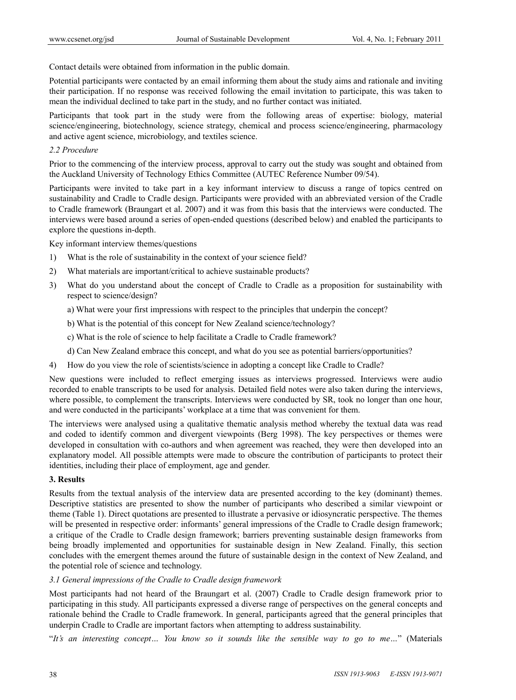Contact details were obtained from information in the public domain.

Potential participants were contacted by an email informing them about the study aims and rationale and inviting their participation. If no response was received following the email invitation to participate, this was taken to mean the individual declined to take part in the study, and no further contact was initiated.

Participants that took part in the study were from the following areas of expertise: biology, material science/engineering, biotechnology, science strategy, chemical and process science/engineering, pharmacology and active agent science, microbiology, and textiles science.

*2.2 Procedure* 

Prior to the commencing of the interview process, approval to carry out the study was sought and obtained from the Auckland University of Technology Ethics Committee (AUTEC Reference Number 09/54).

Participants were invited to take part in a key informant interview to discuss a range of topics centred on sustainability and Cradle to Cradle design. Participants were provided with an abbreviated version of the Cradle to Cradle framework (Braungart et al. 2007) and it was from this basis that the interviews were conducted. The interviews were based around a series of open-ended questions (described below) and enabled the participants to explore the questions in-depth.

Key informant interview themes/questions

- 1) What is the role of sustainability in the context of your science field?
- 2) What materials are important/critical to achieve sustainable products?
- 3) What do you understand about the concept of Cradle to Cradle as a proposition for sustainability with respect to science/design?
	- a) What were your first impressions with respect to the principles that underpin the concept?
	- b) What is the potential of this concept for New Zealand science/technology?
	- c) What is the role of science to help facilitate a Cradle to Cradle framework?
	- d) Can New Zealand embrace this concept, and what do you see as potential barriers/opportunities?
- 4) How do you view the role of scientists/science in adopting a concept like Cradle to Cradle?

New questions were included to reflect emerging issues as interviews progressed. Interviews were audio recorded to enable transcripts to be used for analysis. Detailed field notes were also taken during the interviews, where possible, to complement the transcripts. Interviews were conducted by SR, took no longer than one hour, and were conducted in the participants' workplace at a time that was convenient for them.

The interviews were analysed using a qualitative thematic analysis method whereby the textual data was read and coded to identify common and divergent viewpoints (Berg 1998). The key perspectives or themes were developed in consultation with co-authors and when agreement was reached, they were then developed into an explanatory model. All possible attempts were made to obscure the contribution of participants to protect their identities, including their place of employment, age and gender.

### **3. Results**

Results from the textual analysis of the interview data are presented according to the key (dominant) themes. Descriptive statistics are presented to show the number of participants who described a similar viewpoint or theme (Table 1). Direct quotations are presented to illustrate a pervasive or idiosyncratic perspective. The themes will be presented in respective order: informants' general impressions of the Cradle to Cradle design framework; a critique of the Cradle to Cradle design framework; barriers preventing sustainable design frameworks from being broadly implemented and opportunities for sustainable design in New Zealand. Finally, this section concludes with the emergent themes around the future of sustainable design in the context of New Zealand, and the potential role of science and technology.

#### *3.1 General impressions of the Cradle to Cradle design framework*

Most participants had not heard of the Braungart et al. (2007) Cradle to Cradle design framework prior to participating in this study. All participants expressed a diverse range of perspectives on the general concepts and rationale behind the Cradle to Cradle framework. In general, participants agreed that the general principles that underpin Cradle to Cradle are important factors when attempting to address sustainability.

"*It's an interesting concept… You know so it sounds like the sensible way to go to me…*" (Materials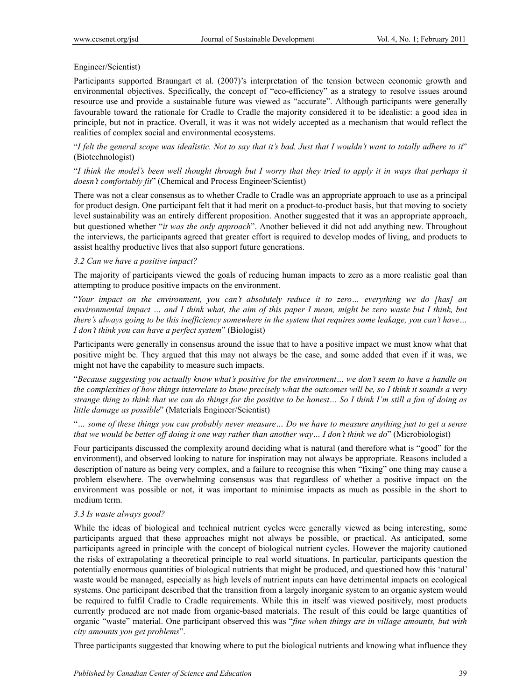# Engineer/Scientist)

Participants supported Braungart et al. (2007)'s interpretation of the tension between economic growth and environmental objectives. Specifically, the concept of "eco-efficiency" as a strategy to resolve issues around resource use and provide a sustainable future was viewed as "accurate". Although participants were generally favourable toward the rationale for Cradle to Cradle the majority considered it to be idealistic: a good idea in principle, but not in practice. Overall, it was it was not widely accepted as a mechanism that would reflect the realities of complex social and environmental ecosystems.

"*I felt the general scope was idealistic. Not to say that it's bad. Just that I wouldn't want to totally adhere to it*" (Biotechnologist)

"*I think the model's been well thought through but I worry that they tried to apply it in ways that perhaps it doesn't comfortably fit*" (Chemical and Process Engineer/Scientist)

There was not a clear consensus as to whether Cradle to Cradle was an appropriate approach to use as a principal for product design. One participant felt that it had merit on a product-to-product basis, but that moving to society level sustainability was an entirely different proposition. Another suggested that it was an appropriate approach, but questioned whether "*it was the only approach*". Another believed it did not add anything new. Throughout the interviews, the participants agreed that greater effort is required to develop modes of living, and products to assist healthy productive lives that also support future generations.

# *3.2 Can we have a positive impact?*

The majority of participants viewed the goals of reducing human impacts to zero as a more realistic goal than attempting to produce positive impacts on the environment.

"*Your impact on the environment, you can't absolutely reduce it to zero… everything we do [has] an environmental impact … and I think what, the aim of this paper I mean, might be zero waste but I think, but there's always going to be this inefficiency somewhere in the system that requires some leakage, you can't have… I don't think you can have a perfect system*" (Biologist)

Participants were generally in consensus around the issue that to have a positive impact we must know what that positive might be. They argued that this may not always be the case, and some added that even if it was, we might not have the capability to measure such impacts.

"*Because suggesting you actually know what's positive for the environment… we don't seem to have a handle on the complexities of how things interrelate to know precisely what the outcomes will be, so I think it sounds a very strange thing to think that we can do things for the positive to be honest… So I think I'm still a fan of doing as little damage as possible*" (Materials Engineer/Scientist)

"*… some of these things you can probably never measure… Do we have to measure anything just to get a sense that we would be better off doing it one way rather than another way… I don't think we do*" (Microbiologist)

Four participants discussed the complexity around deciding what is natural (and therefore what is "good" for the environment), and observed looking to nature for inspiration may not always be appropriate. Reasons included a description of nature as being very complex, and a failure to recognise this when "fixing" one thing may cause a problem elsewhere. The overwhelming consensus was that regardless of whether a positive impact on the environment was possible or not, it was important to minimise impacts as much as possible in the short to medium term.

# *3.3 Is waste always good?*

While the ideas of biological and technical nutrient cycles were generally viewed as being interesting, some participants argued that these approaches might not always be possible, or practical. As anticipated, some participants agreed in principle with the concept of biological nutrient cycles. However the majority cautioned the risks of extrapolating a theoretical principle to real world situations. In particular, participants question the potentially enormous quantities of biological nutrients that might be produced, and questioned how this 'natural' waste would be managed, especially as high levels of nutrient inputs can have detrimental impacts on ecological systems. One participant described that the transition from a largely inorganic system to an organic system would be required to fulfil Cradle to Cradle requirements. While this in itself was viewed positively, most products currently produced are not made from organic-based materials. The result of this could be large quantities of organic "waste" material. One participant observed this was "*fine when things are in village amounts, but with city amounts you get problems*".

Three participants suggested that knowing where to put the biological nutrients and knowing what influence they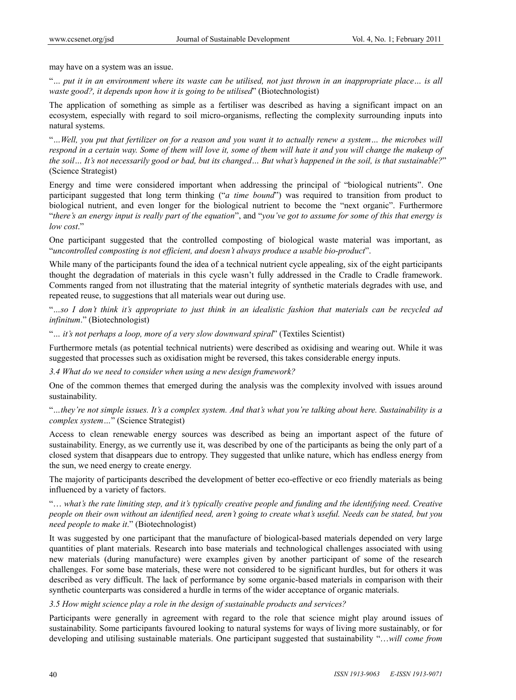may have on a system was an issue.

"*… put it in an environment where its waste can be utilised, not just thrown in an inappropriate place… is all waste good?, it depends upon how it is going to be utilised*" (Biotechnologist)

The application of something as simple as a fertiliser was described as having a significant impact on an ecosystem, especially with regard to soil micro-organisms, reflecting the complexity surrounding inputs into natural systems.

"*…Well, you put that fertilizer on for a reason and you want it to actually renew a system… the microbes will respond in a certain way. Some of them will love it, some of them will hate it and you will change the makeup of the soil… It's not necessarily good or bad, but its changed… But what's happened in the soil, is that sustainable?*" (Science Strategist)

Energy and time were considered important when addressing the principal of "biological nutrients". One participant suggested that long term thinking ("*a time bound*") was required to transition from product to biological nutrient, and even longer for the biological nutrient to become the "next organic". Furthermore "*there's an energy input is really part of the equation*", and "*you've got to assume for some of this that energy is low cost*."

One participant suggested that the controlled composting of biological waste material was important, as "*uncontrolled composting is not efficient, and doesn't always produce a usable bio-product*".

While many of the participants found the idea of a technical nutrient cycle appealing, six of the eight participants thought the degradation of materials in this cycle wasn't fully addressed in the Cradle to Cradle framework. Comments ranged from not illustrating that the material integrity of synthetic materials degrades with use, and repeated reuse, to suggestions that all materials wear out during use.

"*…so I don't think it's appropriate to just think in an idealistic fashion that materials can be recycled ad infinitum*." (Biotechnologist)

"*… it's not perhaps a loop, more of a very slow downward spiral*" (Textiles Scientist)

Furthermore metals (as potential technical nutrients) were described as oxidising and wearing out. While it was suggested that processes such as oxidisation might be reversed, this takes considerable energy inputs.

*3.4 What do we need to consider when using a new design framework?* 

One of the common themes that emerged during the analysis was the complexity involved with issues around sustainability.

"*…they're not simple issues. It's a complex system. And that's what you're talking about here. Sustainability is a complex system…*" (Science Strategist)

Access to clean renewable energy sources was described as being an important aspect of the future of sustainability. Energy, as we currently use it, was described by one of the participants as being the only part of a closed system that disappears due to entropy. They suggested that unlike nature, which has endless energy from the sun, we need energy to create energy.

The majority of participants described the development of better eco-effective or eco friendly materials as being influenced by a variety of factors.

"… *what's the rate limiting step, and it's typically creative people and funding and the identifying need. Creative people on their own without an identified need, aren't going to create what's useful. Needs can be stated, but you need people to make it*." (Biotechnologist)

It was suggested by one participant that the manufacture of biological-based materials depended on very large quantities of plant materials. Research into base materials and technological challenges associated with using new materials (during manufacture) were examples given by another participant of some of the research challenges. For some base materials, these were not considered to be significant hurdles, but for others it was described as very difficult. The lack of performance by some organic-based materials in comparison with their synthetic counterparts was considered a hurdle in terms of the wider acceptance of organic materials.

*3.5 How might science play a role in the design of sustainable products and services?* 

Participants were generally in agreement with regard to the role that science might play around issues of sustainability. Some participants favoured looking to natural systems for ways of living more sustainably, or for developing and utilising sustainable materials. One participant suggested that sustainability "…*will come from*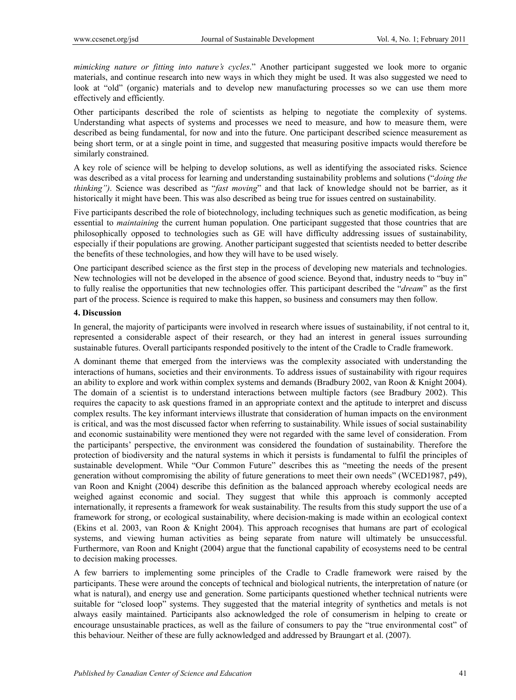*mimicking nature or fitting into nature's cycles*." Another participant suggested we look more to organic materials, and continue research into new ways in which they might be used. It was also suggested we need to look at "old" (organic) materials and to develop new manufacturing processes so we can use them more effectively and efficiently.

Other participants described the role of scientists as helping to negotiate the complexity of systems. Understanding what aspects of systems and processes we need to measure, and how to measure them, were described as being fundamental, for now and into the future. One participant described science measurement as being short term, or at a single point in time, and suggested that measuring positive impacts would therefore be similarly constrained.

A key role of science will be helping to develop solutions, as well as identifying the associated risks. Science was described as a vital process for learning and understanding sustainability problems and solutions ("*doing the thinking")*. Science was described as "*fast moving*" and that lack of knowledge should not be barrier, as it historically it might have been. This was also described as being true for issues centred on sustainability.

Five participants described the role of biotechnology, including techniques such as genetic modification, as being essential to *maintaining* the current human population. One participant suggested that those countries that are philosophically opposed to technologies such as GE will have difficulty addressing issues of sustainability, especially if their populations are growing. Another participant suggested that scientists needed to better describe the benefits of these technologies, and how they will have to be used wisely.

One participant described science as the first step in the process of developing new materials and technologies. New technologies will not be developed in the absence of good science. Beyond that, industry needs to "buy in" to fully realise the opportunities that new technologies offer. This participant described the "*dream*" as the first part of the process. Science is required to make this happen, so business and consumers may then follow.

# **4. Discussion**

In general, the majority of participants were involved in research where issues of sustainability, if not central to it, represented a considerable aspect of their research, or they had an interest in general issues surrounding sustainable futures. Overall participants responded positively to the intent of the Cradle to Cradle framework.

A dominant theme that emerged from the interviews was the complexity associated with understanding the interactions of humans, societies and their environments. To address issues of sustainability with rigour requires an ability to explore and work within complex systems and demands (Bradbury 2002, van Roon & Knight 2004). The domain of a scientist is to understand interactions between multiple factors (see Bradbury 2002). This requires the capacity to ask questions framed in an appropriate context and the aptitude to interpret and discuss complex results. The key informant interviews illustrate that consideration of human impacts on the environment is critical, and was the most discussed factor when referring to sustainability. While issues of social sustainability and economic sustainability were mentioned they were not regarded with the same level of consideration. From the participants' perspective, the environment was considered the foundation of sustainability. Therefore the protection of biodiversity and the natural systems in which it persists is fundamental to fulfil the principles of sustainable development. While "Our Common Future" describes this as "meeting the needs of the present generation without compromising the ability of future generations to meet their own needs" (WCED1987, p49), van Roon and Knight (2004) describe this definition as the balanced approach whereby ecological needs are weighed against economic and social. They suggest that while this approach is commonly accepted internationally, it represents a framework for weak sustainability. The results from this study support the use of a framework for strong, or ecological sustainability, where decision-making is made within an ecological context (Ekins et al. 2003, van Roon & Knight 2004). This approach recognises that humans are part of ecological systems, and viewing human activities as being separate from nature will ultimately be unsuccessful. Furthermore, van Roon and Knight (2004) argue that the functional capability of ecosystems need to be central to decision making processes.

A few barriers to implementing some principles of the Cradle to Cradle framework were raised by the participants. These were around the concepts of technical and biological nutrients, the interpretation of nature (or what is natural), and energy use and generation. Some participants questioned whether technical nutrients were suitable for "closed loop" systems. They suggested that the material integrity of synthetics and metals is not always easily maintained. Participants also acknowledged the role of consumerism in helping to create or encourage unsustainable practices, as well as the failure of consumers to pay the "true environmental cost" of this behaviour. Neither of these are fully acknowledged and addressed by Braungart et al. (2007).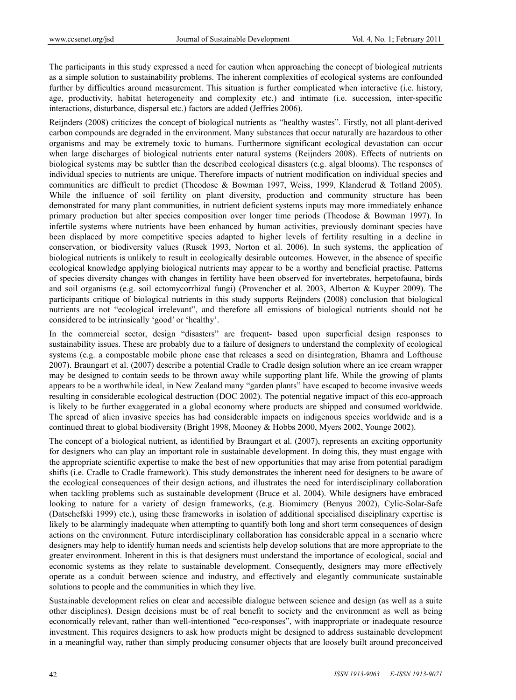The participants in this study expressed a need for caution when approaching the concept of biological nutrients as a simple solution to sustainability problems. The inherent complexities of ecological systems are confounded further by difficulties around measurement. This situation is further complicated when interactive (i.e. history, age, productivity, habitat heterogeneity and complexity etc.) and intimate (i.e. succession, inter-specific interactions, disturbance, dispersal etc.) factors are added (Jeffries 2006).

Reijnders (2008) criticizes the concept of biological nutrients as "healthy wastes". Firstly, not all plant-derived carbon compounds are degraded in the environment. Many substances that occur naturally are hazardous to other organisms and may be extremely toxic to humans. Furthermore significant ecological devastation can occur when large discharges of biological nutrients enter natural systems (Reijnders 2008). Effects of nutrients on biological systems may be subtler than the described ecological disasters (e.g. algal blooms). The responses of individual species to nutrients are unique. Therefore impacts of nutrient modification on individual species and communities are difficult to predict (Theodose & Bowman 1997, Weiss, 1999, Klanderud & Totland 2005). While the influence of soil fertility on plant diversity, production and community structure has been demonstrated for many plant communities, in nutrient deficient systems inputs may more immediately enhance primary production but alter species composition over longer time periods (Theodose & Bowman 1997). In infertile systems where nutrients have been enhanced by human activities, previously dominant species have been displaced by more competitive species adapted to higher levels of fertility resulting in a decline in conservation, or biodiversity values (Rusek 1993, Norton et al. 2006). In such systems, the application of biological nutrients is unlikely to result in ecologically desirable outcomes. However, in the absence of specific ecological knowledge applying biological nutrients may appear to be a worthy and beneficial practise. Patterns of species diversity changes with changes in fertility have been observed for invertebrates, herpetofauna, birds and soil organisms (e.g. soil ectomycorrhizal fungi) (Provencher et al. 2003, Alberton & Kuyper 2009). The participants critique of biological nutrients in this study supports Reijnders (2008) conclusion that biological nutrients are not "ecological irrelevant", and therefore all emissions of biological nutrients should not be considered to be intrinsically 'good' or 'healthy'.

In the commercial sector, design "disasters" are frequent- based upon superficial design responses to sustainability issues. These are probably due to a failure of designers to understand the complexity of ecological systems (e.g. a compostable mobile phone case that releases a seed on disintegration, Bhamra and Lofthouse 2007). Braungart et al. (2007) describe a potential Cradle to Cradle design solution where an ice cream wrapper may be designed to contain seeds to be thrown away while supporting plant life. While the growing of plants appears to be a worthwhile ideal, in New Zealand many "garden plants" have escaped to become invasive weeds resulting in considerable ecological destruction (DOC 2002). The potential negative impact of this eco-approach is likely to be further exaggerated in a global economy where products are shipped and consumed worldwide. The spread of alien invasive species has had considerable impacts on indigenous species worldwide and is a continued threat to global biodiversity (Bright 1998, Mooney & Hobbs 2000, Myers 2002, Younge 2002).

The concept of a biological nutrient, as identified by Braungart et al. (2007), represents an exciting opportunity for designers who can play an important role in sustainable development. In doing this, they must engage with the appropriate scientific expertise to make the best of new opportunities that may arise from potential paradigm shifts (i.e. Cradle to Cradle framework). This study demonstrates the inherent need for designers to be aware of the ecological consequences of their design actions, and illustrates the need for interdisciplinary collaboration when tackling problems such as sustainable development (Bruce et al. 2004). While designers have embraced looking to nature for a variety of design frameworks, (e.g. Biomimcry (Benyus 2002), Cylic-Solar-Safe (Datschefski 1999) etc.), using these frameworks in isolation of additional specialised disciplinary expertise is likely to be alarmingly inadequate when attempting to quantify both long and short term consequences of design actions on the environment. Future interdisciplinary collaboration has considerable appeal in a scenario where designers may help to identify human needs and scientists help develop solutions that are more appropriate to the greater environment. Inherent in this is that designers must understand the importance of ecological, social and economic systems as they relate to sustainable development. Consequently, designers may more effectively operate as a conduit between science and industry, and effectively and elegantly communicate sustainable solutions to people and the communities in which they live.

Sustainable development relies on clear and accessible dialogue between science and design (as well as a suite other disciplines). Design decisions must be of real benefit to society and the environment as well as being economically relevant, rather than well-intentioned "eco-responses", with inappropriate or inadequate resource investment. This requires designers to ask how products might be designed to address sustainable development in a meaningful way, rather than simply producing consumer objects that are loosely built around preconceived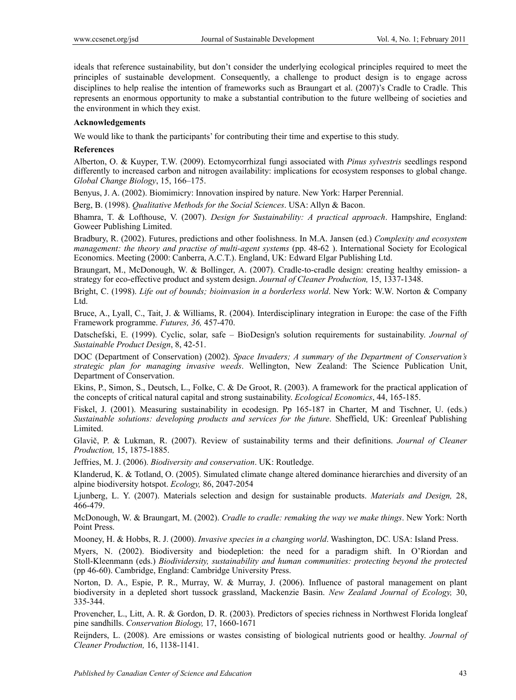ideals that reference sustainability, but don't consider the underlying ecological principles required to meet the principles of sustainable development. Consequently, a challenge to product design is to engage across disciplines to help realise the intention of frameworks such as Braungart et al. (2007)'s Cradle to Cradle. This represents an enormous opportunity to make a substantial contribution to the future wellbeing of societies and the environment in which they exist.

### **Acknowledgements**

We would like to thank the participants' for contributing their time and expertise to this study.

#### **References**

Alberton, O. & Kuyper, T.W. (2009). Ectomycorrhizal fungi associated with *Pinus sylvestris* seedlings respond differently to increased carbon and nitrogen availability: implications for ecosystem responses to global change. *Global Change Biology*, 15, 166–175.

Benyus, J. A. (2002). Biomimicry: Innovation inspired by nature. New York: Harper Perennial.

Berg, B. (1998). *Qualitative Methods for the Social Sciences*. USA: Allyn & Bacon.

Bhamra, T. & Lofthouse, V. (2007). *Design for Sustainability: A practical approach*. Hampshire, England: Goweer Publishing Limited.

Bradbury, R. (2002). Futures, predictions and other foolishness. In M.A. Jansen (ed.) *Complexity and ecosystem management: the theory and practise of multi-agent systems* (pp. 48-62 ). International Society for Ecological Economics. Meeting (2000: Canberra, A.C.T.). England, UK: Edward Elgar Publishing Ltd.

Braungart, M., McDonough, W. & Bollinger, A. (2007). Cradle-to-cradle design: creating healthy emission- a strategy for eco-effective product and system design. *Journal of Cleaner Production,* 15, 1337-1348.

Bright, C. (1998). *Life out of bounds; bioinvasion in a borderless world*. New York: W.W. Norton & Company Ltd.

Bruce, A., Lyall, C., Tait, J. & Williams, R. (2004). Interdisciplinary integration in Europe: the case of the Fifth Framework programme. *Futures, 36,* 457-470.

Datschefski, E. (1999). Cyclic, solar, safe – BioDesign's solution requirements for sustainability. *Journal of Sustainable Product Design*, 8, 42-51.

DOC (Department of Conservation) (2002). *Space Invaders; A summary of the Department of Conservation's strategic plan for managing invasive weeds*. Wellington, New Zealand: The Science Publication Unit, Department of Conservation.

Ekins, P., Simon, S., Deutsch, L., Folke, C. & De Groot, R. (2003). A framework for the practical application of the concepts of critical natural capital and strong sustainability. *Ecological Economics*, 44, 165-185.

Fiskel, J. (2001). Measuring sustainability in ecodesign. Pp 165-187 in Charter, M and Tischner, U. (eds.) *Sustainable solutions: developing products and services for the future*. Sheffield, UK: Greenleaf Publishing Limited.

Glavič, P. & Lukman, R. (2007). Review of sustainability terms and their definitions. *Journal of Cleaner Production,* 15, 1875-1885.

Jeffries, M. J. (2006). *Biodiversity and conservation*. UK: Routledge.

Klanderud, K. & Totland, O. (2005). Simulated climate change altered dominance hierarchies and diversity of an alpine biodiversity hotspot. *Ecology,* 86, 2047-2054

Ljunberg, L. Y. (2007). Materials selection and design for sustainable products. *Materials and Design,* 28, 466-479.

McDonough, W. & Braungart, M. (2002). *Cradle to cradle: remaking the way we make things*. New York: North Point Press.

Mooney, H. & Hobbs, R. J. (2000). *Invasive species in a changing world*. Washington, DC. USA: Island Press.

Myers, N. (2002). Biodiversity and biodepletion: the need for a paradigm shift. In O'Riordan and Stoll-Kleenmann (eds.) *Biodividersity, sustainability and human communities: protecting beyond the protected* (pp 46-60). Cambridge, England: Cambridge University Press.

Norton, D. A., Espie, P. R., Murray, W. & Murray, J. (2006). Influence of pastoral management on plant biodiversity in a depleted short tussock grassland, Mackenzie Basin. *New Zealand Journal of Ecology,* 30, 335-344.

Provencher, L., Litt, A. R. & Gordon, D. R. (2003). Predictors of species richness in Northwest Florida longleaf pine sandhills. *Conservation Biology,* 17, 1660-1671

Reijnders, L. (2008). Are emissions or wastes consisting of biological nutrients good or healthy. *Journal of Cleaner Production,* 16, 1138-1141.